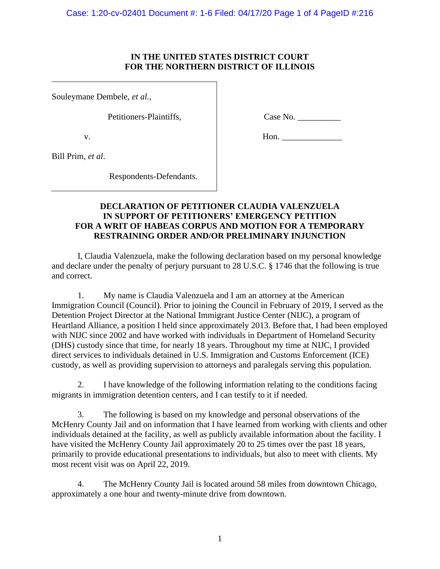## **IN THE UNITED STATES DISTRICT COURT FOR THE NORTHERN DISTRICT OF ILLINOIS**

Souleymane Dembele, *et al.*,

Petitioners-Plaintiffs,

v.

Case No. \_\_\_\_\_\_\_\_\_\_

Hon. \_\_\_\_\_\_\_\_\_\_\_\_\_\_

Bill Prim, *et al*.

Respondents-Defendants.

# **DECLARATION OF PETITIONER CLAUDIA VALENZUELA IN SUPPORT OF PETITIONERS' EMERGENCY PETITION FOR A WRIT OF HABEAS CORPUS AND MOTION FOR A TEMPORARY RESTRAINING ORDER AND/OR PRELIMINARY INJUNCTION**

I, Claudia Valenzuela, make the following declaration based on my personal knowledge and declare under the penalty of perjury pursuant to 28 U.S.C. § 1746 that the following is true and correct.

1. My name is Claudia Valenzuela and I am an attorney at the American Immigration Council (Council). Prior to joining the Council in February of 2019, I served as the Detention Project Director at the National Immigrant Justice Center (NIJC), a program of Heartland Alliance, a position I held since approximately 2013. Before that, I had been employed with NIJC since 2002 and have worked with individuals in Department of Homeland Security (DHS) custody since that time, for nearly 18 years. Throughout my time at NIJC, I provided direct services to individuals detained in U.S. Immigration and Customs Enforcement (ICE) custody, as well as providing supervision to attorneys and paralegals serving this population.

2. I have knowledge of the following information relating to the conditions facing migrants in immigration detention centers, and I can testify to it if needed.

3. The following is based on my knowledge and personal observations of the McHenry County Jail and on information that I have learned from working with clients and other individuals detained at the facility, as well as publicly available information about the facility. I have visited the McHenry County Jail approximately 20 to 25 times over the past 18 years, primarily to provide educational presentations to individuals, but also to meet with clients. My most recent visit was on April 22, 2019.

4. The McHenry County Jail is located around 58 miles from downtown Chicago, approximately a one hour and twenty-minute drive from downtown.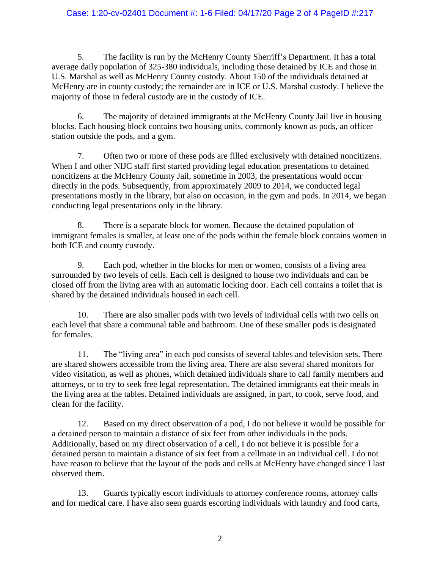## Case: 1:20-cv-02401 Document #: 1-6 Filed: 04/17/20 Page 2 of 4 PageID #:217

5. The facility is run by the McHenry County Sherriff's Department. It has a total average daily population of 325-380 individuals, including those detained by ICE and those in U.S. Marshal as well as McHenry County custody. About 150 of the individuals detained at McHenry are in county custody; the remainder are in ICE or U.S. Marshal custody. I believe the majority of those in federal custody are in the custody of ICE.

6. The majority of detained immigrants at the McHenry County Jail live in housing blocks. Each housing block contains two housing units, commonly known as pods, an officer station outside the pods, and a gym.

7. Often two or more of these pods are filled exclusively with detained noncitizens. When I and other NIJC staff first started providing legal education presentations to detained noncitizens at the McHenry County Jail, sometime in 2003, the presentations would occur directly in the pods. Subsequently, from approximately 2009 to 2014, we conducted legal presentations mostly in the library, but also on occasion, in the gym and pods. In 2014, we began conducting legal presentations only in the library.

8. There is a separate block for women. Because the detained population of immigrant females is smaller, at least one of the pods within the female block contains women in both ICE and county custody.

9. Each pod, whether in the blocks for men or women, consists of a living area surrounded by two levels of cells. Each cell is designed to house two individuals and can be closed off from the living area with an automatic locking door. Each cell contains a toilet that is shared by the detained individuals housed in each cell.

10. There are also smaller pods with two levels of individual cells with two cells on each level that share a communal table and bathroom. One of these smaller pods is designated for females.

11. The "living area" in each pod consists of several tables and television sets. There are shared showers accessible from the living area. There are also several shared monitors for video visitation, as well as phones, which detained individuals share to call family members and attorneys, or to try to seek free legal representation. The detained immigrants eat their meals in the living area at the tables. Detained individuals are assigned, in part, to cook, serve food, and clean for the facility.

12. Based on my direct observation of a pod, I do not believe it would be possible for a detained person to maintain a distance of six feet from other individuals in the pods. Additionally, based on my direct observation of a cell, I do not believe it is possible for a detained person to maintain a distance of six feet from a cellmate in an individual cell. I do not have reason to believe that the layout of the pods and cells at McHenry have changed since I last observed them.

13. Guards typically escort individuals to attorney conference rooms, attorney calls and for medical care. I have also seen guards escorting individuals with laundry and food carts,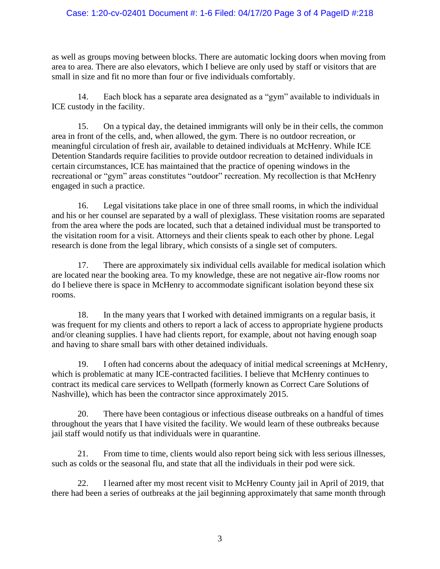## Case: 1:20-cv-02401 Document #: 1-6 Filed: 04/17/20 Page 3 of 4 PageID #:218

as well as groups moving between blocks. There are automatic locking doors when moving from area to area. There are also elevators, which I believe are only used by staff or visitors that are small in size and fit no more than four or five individuals comfortably.

14. Each block has a separate area designated as a "gym" available to individuals in ICE custody in the facility.

15. On a typical day, the detained immigrants will only be in their cells, the common area in front of the cells, and, when allowed, the gym. There is no outdoor recreation, or meaningful circulation of fresh air, available to detained individuals at McHenry. While ICE Detention Standards require facilities to provide outdoor recreation to detained individuals in certain circumstances, ICE has maintained that the practice of opening windows in the recreational or "gym" areas constitutes "outdoor" recreation. My recollection is that McHenry engaged in such a practice.

16. Legal visitations take place in one of three small rooms, in which the individual and his or her counsel are separated by a wall of plexiglass. These visitation rooms are separated from the area where the pods are located, such that a detained individual must be transported to the visitation room for a visit. Attorneys and their clients speak to each other by phone. Legal research is done from the legal library, which consists of a single set of computers.

17. There are approximately six individual cells available for medical isolation which are located near the booking area. To my knowledge, these are not negative air-flow rooms nor do I believe there is space in McHenry to accommodate significant isolation beyond these six rooms.

18. In the many years that I worked with detained immigrants on a regular basis, it was frequent for my clients and others to report a lack of access to appropriate hygiene products and/or cleaning supplies. I have had clients report, for example, about not having enough soap and having to share small bars with other detained individuals.

19. I often had concerns about the adequacy of initial medical screenings at McHenry, which is problematic at many ICE-contracted facilities. I believe that McHenry continues to contract its medical care services to Wellpath (formerly known as Correct Care Solutions of Nashville), which has been the contractor since approximately 2015.

20. There have been contagious or infectious disease outbreaks on a handful of times throughout the years that I have visited the facility. We would learn of these outbreaks because jail staff would notify us that individuals were in quarantine.

21. From time to time, clients would also report being sick with less serious illnesses, such as colds or the seasonal flu, and state that all the individuals in their pod were sick.

22. I learned after my most recent visit to McHenry County jail in April of 2019, that there had been a series of outbreaks at the jail beginning approximately that same month through